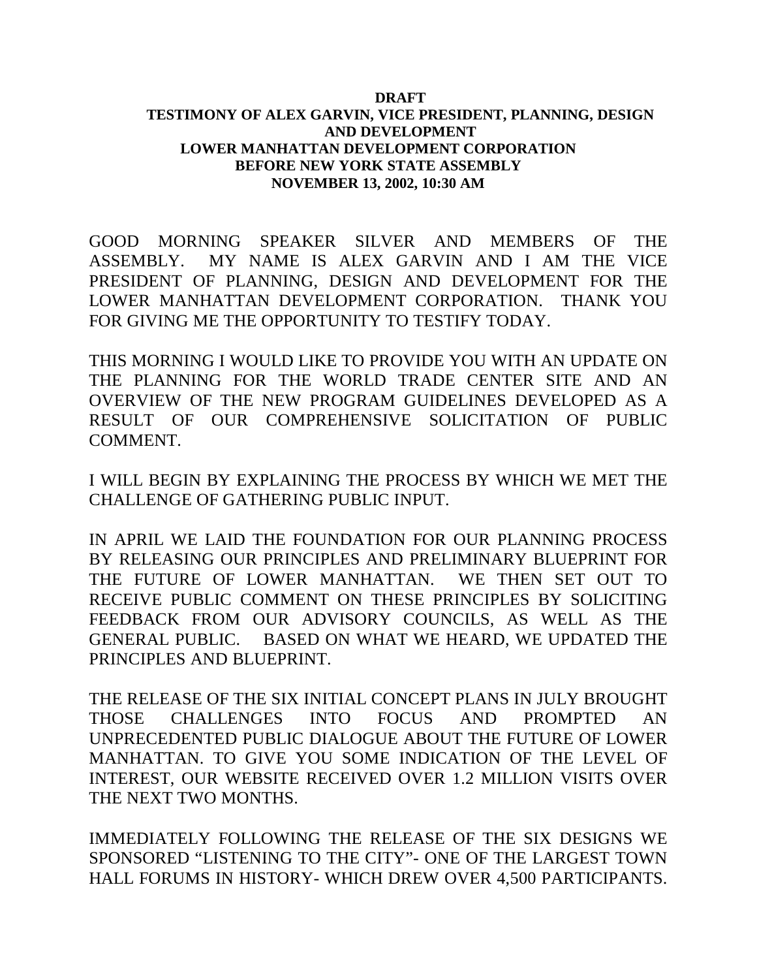## **DRAFT TESTIMONY OF ALEX GARVIN, VICE PRESIDENT, PLANNING, DESIGN AND DEVELOPMENT LOWER MANHATTAN DEVELOPMENT CORPORATION BEFORE NEW YORK STATE ASSEMBLY NOVEMBER 13, 2002, 10:30 AM**

GOOD MORNING SPEAKER SILVER AND MEMBERS OF THE ASSEMBLY. MY NAME IS ALEX GARVIN AND I AM THE VICE PRESIDENT OF PLANNING, DESIGN AND DEVELOPMENT FOR THE LOWER MANHATTAN DEVELOPMENT CORPORATION. THANK YOU FOR GIVING ME THE OPPORTUNITY TO TESTIFY TODAY.

THIS MORNING I WOULD LIKE TO PROVIDE YOU WITH AN UPDATE ON THE PLANNING FOR THE WORLD TRADE CENTER SITE AND AN OVERVIEW OF THE NEW PROGRAM GUIDELINES DEVELOPED AS A RESULT OF OUR COMPREHENSIVE SOLICITATION OF PUBLIC COMMENT.

I WILL BEGIN BY EXPLAINING THE PROCESS BY WHICH WE MET THE CHALLENGE OF GATHERING PUBLIC INPUT.

IN APRIL WE LAID THE FOUNDATION FOR OUR PLANNING PROCESS BY RELEASING OUR PRINCIPLES AND PRELIMINARY BLUEPRINT FOR THE FUTURE OF LOWER MANHATTAN. WE THEN SET OUT TO RECEIVE PUBLIC COMMENT ON THESE PRINCIPLES BY SOLICITING FEEDBACK FROM OUR ADVISORY COUNCILS, AS WELL AS THE GENERAL PUBLIC. BASED ON WHAT WE HEARD, WE UPDATED THE PRINCIPLES AND BLUEPRINT.

THE RELEASE OF THE SIX INITIAL CONCEPT PLANS IN JULY BROUGHT THOSE CHALLENGES INTO FOCUS AND PROMPTED AN UNPRECEDENTED PUBLIC DIALOGUE ABOUT THE FUTURE OF LOWER MANHATTAN. TO GIVE YOU SOME INDICATION OF THE LEVEL OF INTEREST, OUR WEBSITE RECEIVED OVER 1.2 MILLION VISITS OVER THE NEXT TWO MONTHS.

IMMEDIATELY FOLLOWING THE RELEASE OF THE SIX DESIGNS WE SPONSORED "LISTENING TO THE CITY"- ONE OF THE LARGEST TOWN HALL FORUMS IN HISTORY- WHICH DREW OVER 4,500 PARTICIPANTS.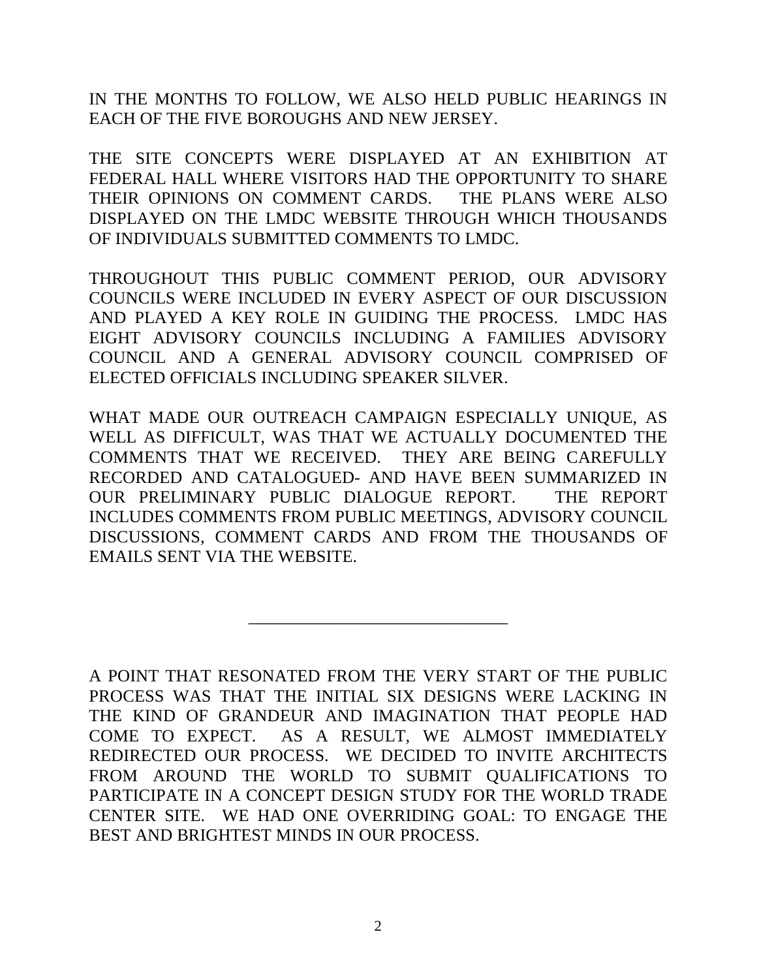IN THE MONTHS TO FOLLOW, WE ALSO HELD PUBLIC HEARINGS IN EACH OF THE FIVE BOROUGHS AND NEW JERSEY.

THE SITE CONCEPTS WERE DISPLAYED AT AN EXHIBITION AT FEDERAL HALL WHERE VISITORS HAD THE OPPORTUNITY TO SHARE THEIR OPINIONS ON COMMENT CARDS. THE PLANS WERE ALSO DISPLAYED ON THE LMDC WEBSITE THROUGH WHICH THOUSANDS OF INDIVIDUALS SUBMITTED COMMENTS TO LMDC.

THROUGHOUT THIS PUBLIC COMMENT PERIOD, OUR ADVISORY COUNCILS WERE INCLUDED IN EVERY ASPECT OF OUR DISCUSSION AND PLAYED A KEY ROLE IN GUIDING THE PROCESS. LMDC HAS EIGHT ADVISORY COUNCILS INCLUDING A FAMILIES ADVISORY COUNCIL AND A GENERAL ADVISORY COUNCIL COMPRISED OF ELECTED OFFICIALS INCLUDING SPEAKER SILVER.

WHAT MADE OUR OUTREACH CAMPAIGN ESPECIALLY UNIQUE, AS WELL AS DIFFICULT, WAS THAT WE ACTUALLY DOCUMENTED THE COMMENTS THAT WE RECEIVED. THEY ARE BEING CAREFULLY RECORDED AND CATALOGUED- AND HAVE BEEN SUMMARIZED IN OUR PRELIMINARY PUBLIC DIALOGUE REPORT. THE REPORT INCLUDES COMMENTS FROM PUBLIC MEETINGS, ADVISORY COUNCIL DISCUSSIONS, COMMENT CARDS AND FROM THE THOUSANDS OF EMAILS SENT VIA THE WEBSITE.

\_\_\_\_\_\_\_\_\_\_\_\_\_\_\_\_\_\_\_\_\_\_\_\_\_\_\_\_\_\_

A POINT THAT RESONATED FROM THE VERY START OF THE PUBLIC PROCESS WAS THAT THE INITIAL SIX DESIGNS WERE LACKING IN THE KIND OF GRANDEUR AND IMAGINATION THAT PEOPLE HAD COME TO EXPECT. AS A RESULT, WE ALMOST IMMEDIATELY REDIRECTED OUR PROCESS. WE DECIDED TO INVITE ARCHITECTS FROM AROUND THE WORLD TO SUBMIT QUALIFICATIONS TO PARTICIPATE IN A CONCEPT DESIGN STUDY FOR THE WORLD TRADE CENTER SITE. WE HAD ONE OVERRIDING GOAL: TO ENGAGE THE BEST AND BRIGHTEST MINDS IN OUR PROCESS.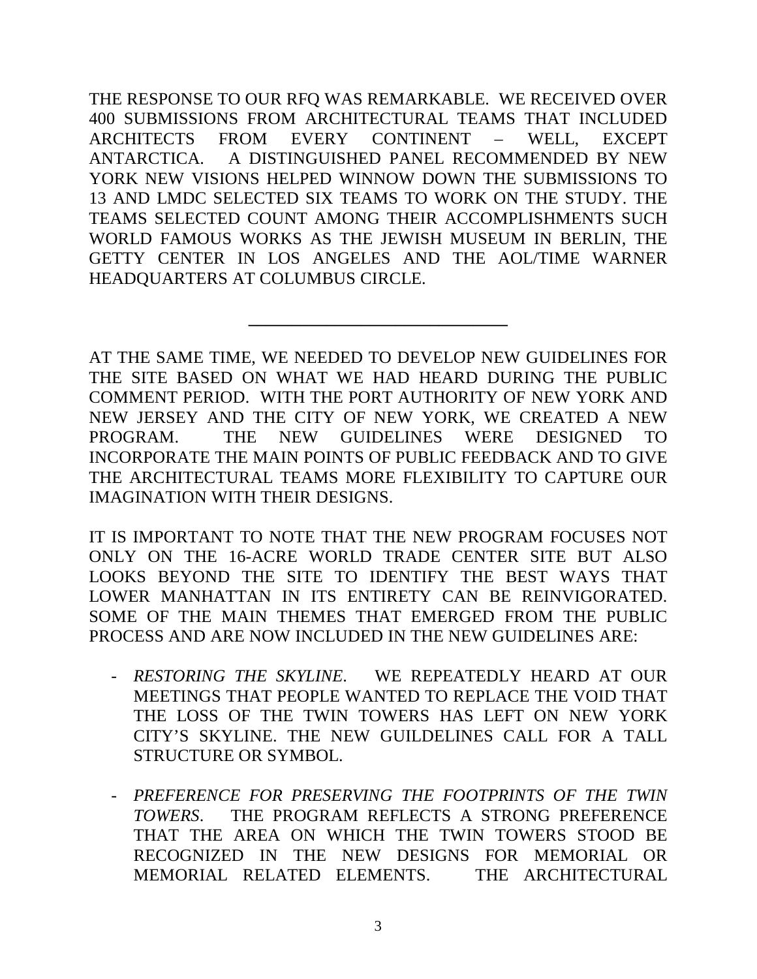THE RESPONSE TO OUR RFQ WAS REMARKABLE. WE RECEIVED OVER 400 SUBMISSIONS FROM ARCHITECTURAL TEAMS THAT INCLUDED ARCHITECTS FROM EVERY CONTINENT – WELL, EXCEPT ANTARCTICA. A DISTINGUISHED PANEL RECOMMENDED BY NEW YORK NEW VISIONS HELPED WINNOW DOWN THE SUBMISSIONS TO 13 AND LMDC SELECTED SIX TEAMS TO WORK ON THE STUDY. THE TEAMS SELECTED COUNT AMONG THEIR ACCOMPLISHMENTS SUCH WORLD FAMOUS WORKS AS THE JEWISH MUSEUM IN BERLIN, THE GETTY CENTER IN LOS ANGELES AND THE AOL/TIME WARNER HEADQUARTERS AT COLUMBUS CIRCLE.

AT THE SAME TIME, WE NEEDED TO DEVELOP NEW GUIDELINES FOR THE SITE BASED ON WHAT WE HAD HEARD DURING THE PUBLIC COMMENT PERIOD. WITH THE PORT AUTHORITY OF NEW YORK AND NEW JERSEY AND THE CITY OF NEW YORK, WE CREATED A NEW PROGRAM. THE NEW GUIDELINES WERE DESIGNED TO INCORPORATE THE MAIN POINTS OF PUBLIC FEEDBACK AND TO GIVE THE ARCHITECTURAL TEAMS MORE FLEXIBILITY TO CAPTURE OUR IMAGINATION WITH THEIR DESIGNS.

**\_\_\_\_\_\_\_\_\_\_\_\_\_\_\_\_\_\_\_\_\_\_\_\_\_\_\_\_\_\_**

IT IS IMPORTANT TO NOTE THAT THE NEW PROGRAM FOCUSES NOT ONLY ON THE 16-ACRE WORLD TRADE CENTER SITE BUT ALSO LOOKS BEYOND THE SITE TO IDENTIFY THE BEST WAYS THAT LOWER MANHATTAN IN ITS ENTIRETY CAN BE REINVIGORATED. SOME OF THE MAIN THEMES THAT EMERGED FROM THE PUBLIC PROCESS AND ARE NOW INCLUDED IN THE NEW GUIDELINES ARE:

- *RESTORING THE SKYLINE*. WE REPEATEDLY HEARD AT OUR MEETINGS THAT PEOPLE WANTED TO REPLACE THE VOID THAT THE LOSS OF THE TWIN TOWERS HAS LEFT ON NEW YORK CITY'S SKYLINE. THE NEW GUILDELINES CALL FOR A TALL STRUCTURE OR SYMBOL.
- *PREFERENCE FOR PRESERVING THE FOOTPRINTS OF THE TWIN TOWERS*. THE PROGRAM REFLECTS A STRONG PREFERENCE THAT THE AREA ON WHICH THE TWIN TOWERS STOOD BE RECOGNIZED IN THE NEW DESIGNS FOR MEMORIAL OR MEMORIAL RELATED ELEMENTS. THE ARCHITECTURAL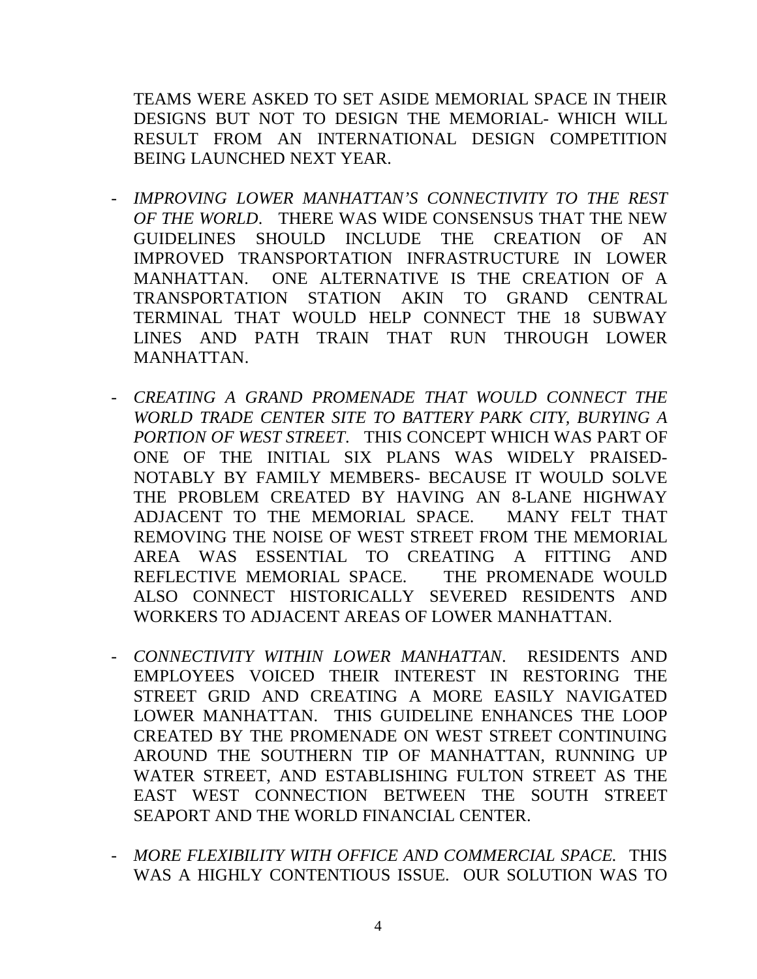TEAMS WERE ASKED TO SET ASIDE MEMORIAL SPACE IN THEIR DESIGNS BUT NOT TO DESIGN THE MEMORIAL- WHICH WILL RESULT FROM AN INTERNATIONAL DESIGN COMPETITION BEING LAUNCHED NEXT YEAR.

- *IMPROVING LOWER MANHATTAN'S CONNECTIVITY TO THE REST OF THE WORLD*. THERE WAS WIDE CONSENSUS THAT THE NEW GUIDELINES SHOULD INCLUDE THE CREATION OF AN IMPROVED TRANSPORTATION INFRASTRUCTURE IN LOWER MANHATTAN. ONE ALTERNATIVE IS THE CREATION OF A TRANSPORTATION STATION AKIN TO GRAND CENTRAL TERMINAL THAT WOULD HELP CONNECT THE 18 SUBWAY LINES AND PATH TRAIN THAT RUN THROUGH LOWER MANHATTAN.
- *CREATING A GRAND PROMENADE THAT WOULD CONNECT THE WORLD TRADE CENTER SITE TO BATTERY PARK CITY, BURYING A PORTION OF WEST STREET*. THIS CONCEPT WHICH WAS PART OF ONE OF THE INITIAL SIX PLANS WAS WIDELY PRAISED-NOTABLY BY FAMILY MEMBERS- BECAUSE IT WOULD SOLVE THE PROBLEM CREATED BY HAVING AN 8-LANE HIGHWAY ADJACENT TO THE MEMORIAL SPACE. MANY FELT THAT REMOVING THE NOISE OF WEST STREET FROM THE MEMORIAL AREA WAS ESSENTIAL TO CREATING A FITTING AND REFLECTIVE MEMORIAL SPACE. THE PROMENADE WOULD ALSO CONNECT HISTORICALLY SEVERED RESIDENTS AND WORKERS TO ADJACENT AREAS OF LOWER MANHATTAN.
- *CONNECTIVITY WITHIN LOWER MANHATTAN*. RESIDENTS AND EMPLOYEES VOICED THEIR INTEREST IN RESTORING THE STREET GRID AND CREATING A MORE EASILY NAVIGATED LOWER MANHATTAN. THIS GUIDELINE ENHANCES THE LOOP CREATED BY THE PROMENADE ON WEST STREET CONTINUING AROUND THE SOUTHERN TIP OF MANHATTAN, RUNNING UP WATER STREET, AND ESTABLISHING FULTON STREET AS THE EAST WEST CONNECTION BETWEEN THE SOUTH STREET SEAPORT AND THE WORLD FINANCIAL CENTER.
- *MORE FLEXIBILITY WITH OFFICE AND COMMERCIAL SPACE.* THIS WAS A HIGHLY CONTENTIOUS ISSUE. OUR SOLUTION WAS TO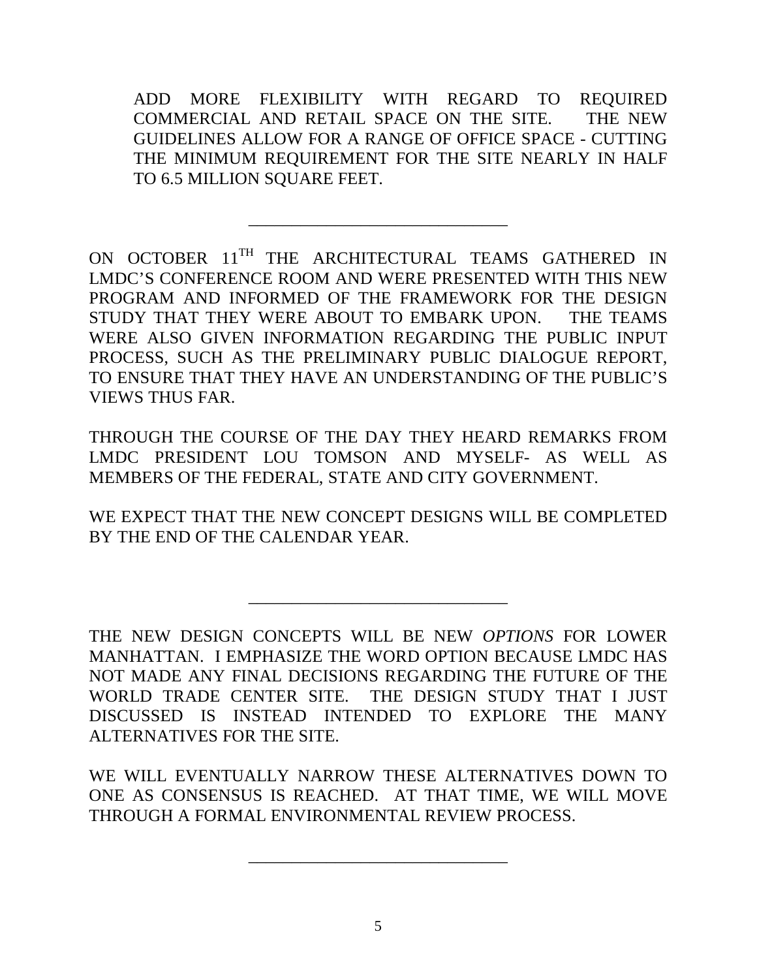ADD MORE FLEXIBILITY WITH REGARD TO REQUIRED COMMERCIAL AND RETAIL SPACE ON THE SITE. THE NEW GUIDELINES ALLOW FOR A RANGE OF OFFICE SPACE - CUTTING THE MINIMUM REQUIREMENT FOR THE SITE NEARLY IN HALF TO 6.5 MILLION SQUARE FEET.

ON OCTOBER 11<sup>TH</sup> THE ARCHITECTURAL TEAMS GATHERED IN LMDC'S CONFERENCE ROOM AND WERE PRESENTED WITH THIS NEW PROGRAM AND INFORMED OF THE FRAMEWORK FOR THE DESIGN STUDY THAT THEY WERE ABOUT TO EMBARK UPON. THE TEAMS WERE ALSO GIVEN INFORMATION REGARDING THE PUBLIC INPUT PROCESS, SUCH AS THE PRELIMINARY PUBLIC DIALOGUE REPORT, TO ENSURE THAT THEY HAVE AN UNDERSTANDING OF THE PUBLIC'S VIEWS THUS FAR.

\_\_\_\_\_\_\_\_\_\_\_\_\_\_\_\_\_\_\_\_\_\_\_\_\_\_\_\_\_\_

THROUGH THE COURSE OF THE DAY THEY HEARD REMARKS FROM LMDC PRESIDENT LOU TOMSON AND MYSELF- AS WELL AS MEMBERS OF THE FEDERAL, STATE AND CITY GOVERNMENT.

WE EXPECT THAT THE NEW CONCEPT DESIGNS WILL BE COMPLETED BY THE END OF THE CALENDAR YEAR.

\_\_\_\_\_\_\_\_\_\_\_\_\_\_\_\_\_\_\_\_\_\_\_\_\_\_\_\_\_\_

WE WILL EVENTUALLY NARROW THESE ALTERNATIVES DOWN TO ONE AS CONSENSUS IS REACHED. AT THAT TIME, WE WILL MOVE THROUGH A FORMAL ENVIRONMENTAL REVIEW PROCESS.

\_\_\_\_\_\_\_\_\_\_\_\_\_\_\_\_\_\_\_\_\_\_\_\_\_\_\_\_\_\_

THE NEW DESIGN CONCEPTS WILL BE NEW *OPTIONS* FOR LOWER MANHATTAN. I EMPHASIZE THE WORD OPTION BECAUSE LMDC HAS NOT MADE ANY FINAL DECISIONS REGARDING THE FUTURE OF THE WORLD TRADE CENTER SITE. THE DESIGN STUDY THAT I JUST DISCUSSED IS INSTEAD INTENDED TO EXPLORE THE MANY ALTERNATIVES FOR THE SITE.